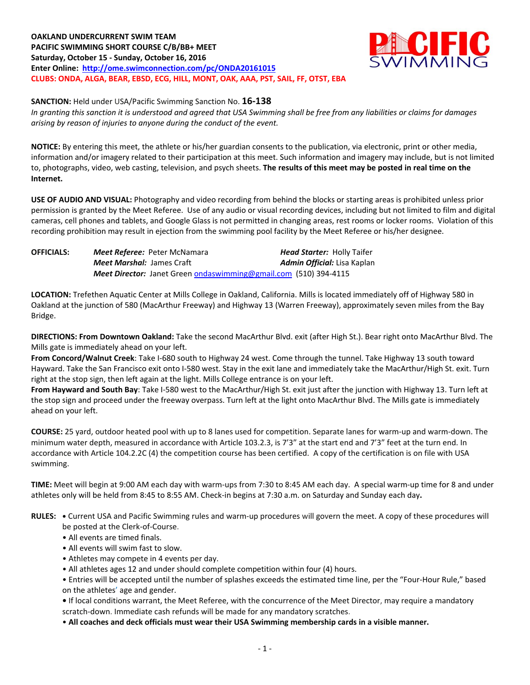**OAKLAND UNDERCURRENT SWIM TEAM PACIFIC SWIMMING SHORT COURSE C/B/BB+ MEET Saturday, October 15 - Sunday, October 16, 2016 Enter Online: <http://ome.swimconnection.com/pc/ONDA20161015> CLUBS: ONDA, ALGA, BEAR, EBSD, ECG, HILL, MONT, OAK, AAA, PST, SAIL, FF, OTST, EBA**



**SANCTION:** Held under USA/Pacific Swimming Sanction No. **16-138**

*In granting this sanction it is understood and agreed that USA Swimming shall be free from any liabilities or claims for damages arising by reason of injuries to anyone during the conduct of the event.*

**NOTICE:** By entering this meet, the athlete or his/her guardian consents to the publication, via electronic, print or other media, information and/or imagery related to their participation at this meet. Such information and imagery may include, but is not limited to, photographs, video, web casting, television, and psych sheets. **The results of this meet may be posted in real time on the Internet.**

**USE OF AUDIO AND VISUAL:** Photography and video recording from behind the blocks or starting areas is prohibited unless prior permission is granted by the Meet Referee. Use of any audio or visual recording devices, including but not limited to film and digital cameras, cell phones and tablets, and Google Glass is not permitted in changing areas, rest rooms or locker rooms. Violation of this recording prohibition may result in ejection from the swimming pool facility by the Meet Referee or his/her designee.

**OFFICIALS:** *Meet Referee:* Peter McNamara *Head Starter:* Holly Taifer *Meet Marshal:* James Craft *Admin Official:* Lisa Kaplan *Meet Director:* Janet Green [ondaswimming@gmail.com](mailto:ondaswimming@gmail.com) (510) 394-4115

**LOCATION:** Trefethen Aquatic Center at Mills College in Oakland, California. Mills is located immediately off of Highway 580 in Oakland at the junction of 580 (MacArthur Freeway) and Highway 13 (Warren Freeway), approximately seven miles from the Bay Bridge.

**DIRECTIONS: From Downtown Oakland:** Take the second MacArthur Blvd. exit (after High St.). Bear right onto MacArthur Blvd. The Mills gate is immediately ahead on your left.

**From Concord/Walnut Creek**: Take I-680 south to Highway 24 west. Come through the tunnel. Take Highway 13 south toward Hayward. Take the San Francisco exit onto I-580 west. Stay in the exit lane and immediately take the MacArthur/High St. exit. Turn right at the stop sign, then left again at the light. Mills College entrance is on your left.

**From Hayward and South Bay**: Take I-580 west to the MacArthur/High St. exit just after the junction with Highway 13. Turn left at the stop sign and proceed under the freeway overpass. Turn left at the light onto MacArthur Blvd. The Mills gate is immediately ahead on your left.

**COURSE:** 25 yard, outdoor heated pool with up to 8 lanes used for competition. Separate lanes for warm-up and warm-down. The minimum water depth, measured in accordance with Article 103.2.3, is 7'3" at the start end and 7'3" feet at the turn end. In accordance with Article 104.2.2C (4) the competition course has been certified. A copy of the certification is on file with USA swimming.

**TIME:** Meet will begin at 9:00 AM each day with warm-ups from 7:30 to 8:45 AM each day. A special warm-up time for 8 and under athletes only will be held from 8:45 to 8:55 AM. Check-in begins at 7:30 a.m. on Saturday and Sunday each day**.**

**RULES: •** Current USA and Pacific Swimming rules and warm-up procedures will govern the meet. A copy of these procedures will be posted at the Clerk-of-Course.

- All events are timed finals.
- All events will swim fast to slow.
- Athletes may compete in 4 events per day.
- All athletes ages 12 and under should complete competition within four (4) hours.

• Entries will be accepted until the number of splashes exceeds the estimated time line, per the "Four-Hour Rule," based on the athletes' age and gender.

**•** If local conditions warrant, the Meet Referee, with the concurrence of the Meet Director, may require a mandatory scratch-down. Immediate cash refunds will be made for any mandatory scratches.

• **All coaches and deck officials must wear their USA Swimming membership cards in a visible manner.**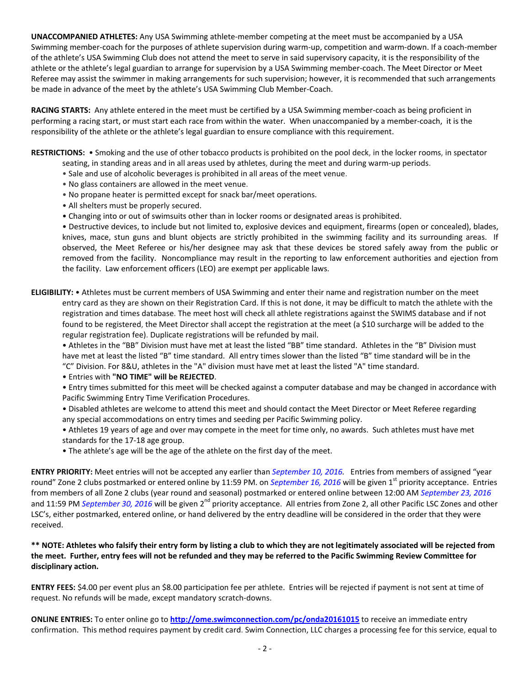**UNACCOMPANIED ATHLETES:** Any USA Swimming athlete-member competing at the meet must be accompanied by a USA Swimming member-coach for the purposes of athlete supervision during warm-up, competition and warm-down. If a coach-member of the athlete's USA Swimming Club does not attend the meet to serve in said supervisory capacity, it is the responsibility of the athlete or the athlete's legal guardian to arrange for supervision by a USA Swimming member-coach. The Meet Director or Meet Referee may assist the swimmer in making arrangements for such supervision; however, it is recommended that such arrangements be made in advance of the meet by the athlete's USA Swimming Club Member-Coach.

**RACING STARTS:** Any athlete entered in the meet must be certified by a USA Swimming member-coach as being proficient in performing a racing start, or must start each race from within the water. When unaccompanied by a member-coach, it is the responsibility of the athlete or the athlete's legal guardian to ensure compliance with this requirement.

**RESTRICTIONS:** • Smoking and the use of other tobacco products is prohibited on the pool deck, in the locker rooms, in spectator seating, in standing areas and in all areas used by athletes, during the meet and during warm-up periods.

- Sale and use of alcoholic beverages is prohibited in all areas of the meet venue.
- No glass containers are allowed in the meet venue.
- No propane heater is permitted except for snack bar/meet operations.
- All shelters must be properly secured.
- Changing into or out of swimsuits other than in locker rooms or designated areas is prohibited.

• Destructive devices, to include but not limited to, explosive devices and equipment, firearms (open or concealed), blades, knives, mace, stun guns and blunt objects are strictly prohibited in the swimming facility and its surrounding areas. If observed, the Meet Referee or his/her designee may ask that these devices be stored safely away from the public or removed from the facility. Noncompliance may result in the reporting to law enforcement authorities and ejection from the facility. Law enforcement officers (LEO) are exempt per applicable laws.

**ELIGIBILITY:** • Athletes must be current members of USA Swimming and enter their name and registration number on the meet entry card as they are shown on their Registration Card. If this is not done, it may be difficult to match the athlete with the registration and times database. The meet host will check all athlete registrations against the SWIMS database and if not found to be registered, the Meet Director shall accept the registration at the meet (a \$10 surcharge will be added to the regular registration fee). Duplicate registrations will be refunded by mail.

• Athletes in the "BB" Division must have met at least the listed "BB" time standard. Athletes in the "B" Division must have met at least the listed "B" time standard. All entry times slower than the listed "B" time standard will be in the "C" Division. For 8&U, athletes in the "A" division must have met at least the listed "A" time standard.

• Entries with **"NO TIME" will be REJECTED**.

• Entry times submitted for this meet will be checked against a computer database and may be changed in accordance with Pacific Swimming Entry Time Verification Procedures.

• Disabled athletes are welcome to attend this meet and should contact the Meet Director or Meet Referee regarding any special accommodations on entry times and seeding per Pacific Swimming policy.

• Athletes 19 years of age and over may compete in the meet for time only, no awards. Such athletes must have met standards for the 17-18 age group.

• The athlete's age will be the age of the athlete on the first day of the meet.

**ENTRY PRIORITY:** Meet entries will not be accepted any earlier than *September 10, 2016.* Entries from members of assigned "year round" Zone 2 clubs postmarked or entered online by 11:59 PM. on *September 16, 2016* will be given 1<sup>st</sup> priority acceptance. Entries from members of all Zone 2 clubs (year round and seasonal) postmarked or entered online between 12:00 AM *September 23, 2016* and 11:59 PM *September 30, 2016* will be given 2<sup>nd</sup> priority acceptance. All entries from Zone 2, all other Pacific LSC Zones and other LSC's, either postmarked, entered online, or hand delivered by the entry deadline will be considered in the order that they were received.

**\*\* NOTE: Athletes who falsify their entry form by listing a club to which they are not legitimately associated will be rejected from the meet. Further, entry fees will not be refunded and they may be referred to the Pacific Swimming Review Committee for disciplinary action.**

**ENTRY FEES:** \$4.00 per event plus an \$8.00 participation fee per athlete. Entries will be rejected if payment is not sent at time of request. No refunds will be made, except mandatory scratch-downs.

**ONLINE ENTRIES:** To enter online go to **<http://ome.swimconnection.com/pc/onda20161015>** to receive an immediate entry confirmation. This method requires payment by credit card. Swim Connection, LLC charges a processing fee for this service, equal to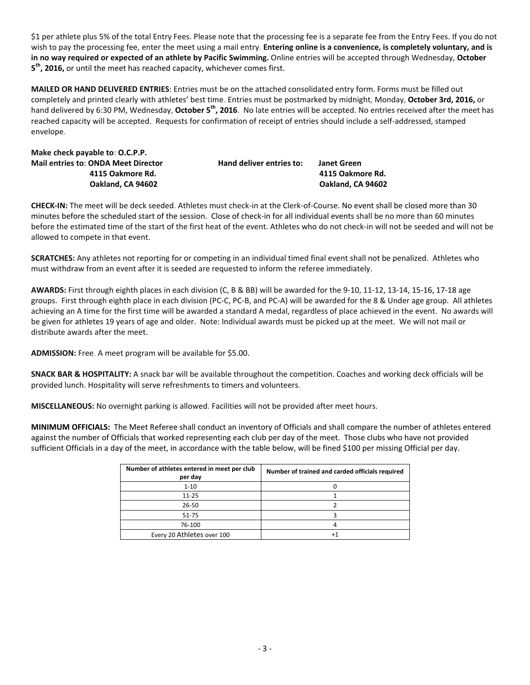\$1 per athlete plus 5% of the total Entry Fees. Please note that the processing fee is a separate fee from the Entry Fees. If you do not wish to pay the processing fee, enter the meet using a mail entry. **Entering online is a convenience, is completely voluntary, and is in no way required or expected of an athlete by Pacific Swimming.** Online entries will be accepted through Wednesday, **October 5 th, 2016,** or until the meet has reached capacity, whichever comes first.

**MAILED OR HAND DELIVERED ENTRIES**: Entries must be on the attached consolidated entry form. Forms must be filled out completely and printed clearly with athletes' best time. Entries must be postmarked by midnight, Monday, **October 3rd, 2016,** or hand delivered by 6:30 PM, Wednesday, **October 5th, 2016**. No late entries will be accepted. No entries received after the meet has reached capacity will be accepted. Requests for confirmation of receipt of entries should include a self-addressed, stamped envelope.

| Make check payable to: O.C.P.P.            |                          |                    |
|--------------------------------------------|--------------------------|--------------------|
| <b>Mail entries to: ONDA Meet Director</b> | Hand deliver entries to: | <b>Janet Green</b> |
| 4115 Oakmore Rd.                           |                          | 4115 Oakmore Rd.   |
| Oakland. CA 94602                          |                          | Oakland, CA 94602  |

**CHECK-IN:** The meet will be deck seeded. Athletes must check-in at the Clerk-of-Course. No event shall be closed more than 30 minutes before the scheduled start of the session. Close of check-in for all individual events shall be no more than 60 minutes before the estimated time of the start of the first heat of the event. Athletes who do not check-in will not be seeded and will not be allowed to compete in that event.

**SCRATCHES:** Any athletes not reporting for or competing in an individual timed final event shall not be penalized. Athletes who must withdraw from an event after it is seeded are requested to inform the referee immediately.

**AWARDS:** First through eighth places in each division (C, B & BB) will be awarded for the 9-10, 11-12, 13-14, 15-16, 17-18 age groups. First through eighth place in each division (PC-C, PC-B, and PC-A) will be awarded for the 8 & Under age group. All athletes achieving an A time for the first time will be awarded a standard A medal, regardless of place achieved in the event. No awards will be given for athletes 19 years of age and older. Note: Individual awards must be picked up at the meet. We will not mail or distribute awards after the meet.

**ADMISSION:** Free. A meet program will be available for \$5.00.

**SNACK BAR & HOSPITALITY:** A snack bar will be available throughout the competition. Coaches and working deck officials will be provided lunch. Hospitality will serve refreshments to timers and volunteers.

**MISCELLANEOUS:** No overnight parking is allowed. Facilities will not be provided after meet hours.

**MINIMUM OFFICIALS:** The Meet Referee shall conduct an inventory of Officials and shall compare the number of athletes entered against the number of Officials that worked representing each club per day of the meet. Those clubs who have not provided sufficient Officials in a day of the meet, in accordance with the table below, will be fined \$100 per missing Official per day.

| Number of athletes entered in meet per club<br>per day | Number of trained and carded officials required |
|--------------------------------------------------------|-------------------------------------------------|
| $1 - 10$                                               |                                                 |
| $11 - 25$                                              |                                                 |
| 26-50                                                  |                                                 |
| $51 - 75$                                              |                                                 |
| 76-100                                                 |                                                 |
| Every 20 Athletes over 100                             |                                                 |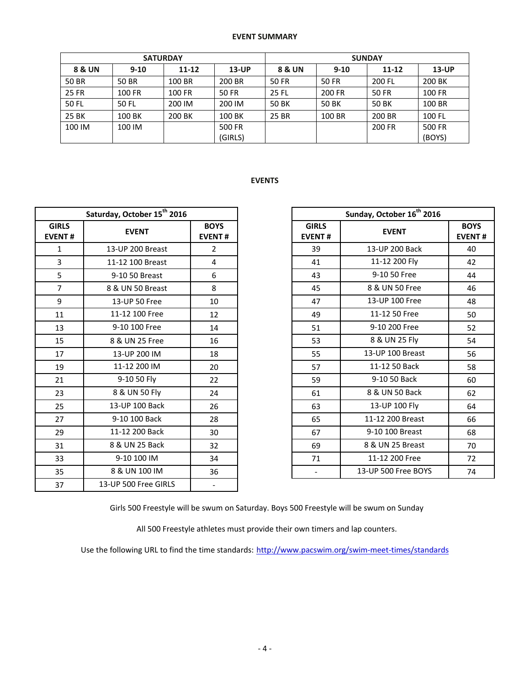## **EVENT SUMMARY**

|              | <b>SATURDAY</b> |           |              | <b>SUNDAY</b> |          |           |          |  |  |
|--------------|-----------------|-----------|--------------|---------------|----------|-----------|----------|--|--|
| 8 & UN       | $9 - 10$        | $11 - 12$ | $13$ -UP     | 8 & UN        | $9 - 10$ | $11 - 12$ | $13$ -UP |  |  |
| 50 BR        | 50 BR           | 100 BR    | 200 BR       | 50 FR         | 50 FR    | 200 FL    | 200 BK   |  |  |
| <b>25 FR</b> | 100 FR          | 100 FR    | <b>50 FR</b> | 25 FL         | 200 FR   | 50 FR     | 100 FR   |  |  |
| 50 FL        | 50 FL           | 200 IM    | 200 IM       | 50 BK         | 50 BK    | 50 BK     | 100 BR   |  |  |
| 25 BK        | 100 BK          | 200 BK    | 100 BK       | 25 BR         | 100 BR   | 200 BR    | 100 FL   |  |  |
| 100 IM       | 100 IM          |           | 500 FR       |               |          | 200 FR    | 500 FR   |  |  |
|              |                 |           | (GIRLS)      |               |          |           | (BOYS)   |  |  |

## **EVENTS**

| Saturday, October 15 <sup>th</sup> 2016 |                      |                              |  |  |  |  |  |  |
|-----------------------------------------|----------------------|------------------------------|--|--|--|--|--|--|
| <b>GIRLS</b><br><b>EVENT#</b>           | <b>EVENT</b>         | <b>BOYS</b><br><b>EVENT#</b> |  |  |  |  |  |  |
| $\mathbf{1}$                            | 13-UP 200 Breast     | 2                            |  |  |  |  |  |  |
| 3                                       | 11-12 100 Breast     | 4                            |  |  |  |  |  |  |
| 5                                       | 9-10 50 Breast       | 6                            |  |  |  |  |  |  |
| 7                                       | 8 & UN 50 Breast     | 8                            |  |  |  |  |  |  |
| 9                                       | 13-UP 50 Free        | 10                           |  |  |  |  |  |  |
| 11                                      | 11-12 100 Free       | 12                           |  |  |  |  |  |  |
| 13                                      | 9-10 100 Free        | 14                           |  |  |  |  |  |  |
| 15                                      | 8 & UN 25 Free       | 16                           |  |  |  |  |  |  |
| 17                                      | 13-UP 200 IM         | 18                           |  |  |  |  |  |  |
| 19                                      | 11-12 200 IM         | 20                           |  |  |  |  |  |  |
| 21                                      | 9-10 50 Fly          | 22                           |  |  |  |  |  |  |
| 23                                      | 8 & UN 50 Fly        | 24                           |  |  |  |  |  |  |
| 25                                      | 13-UP 100 Back       | 26                           |  |  |  |  |  |  |
| 27                                      | 9-10 100 Back        | 28                           |  |  |  |  |  |  |
| 29                                      | 11-12 200 Back       | 30                           |  |  |  |  |  |  |
| 31                                      | 8 & UN 25 Back       | 32                           |  |  |  |  |  |  |
| 33                                      | 9-10 100 IM          | 34                           |  |  |  |  |  |  |
| 35                                      | 8 & UN 100 IM        | 36                           |  |  |  |  |  |  |
| 37                                      | 13-UP 500 Free GIRLS |                              |  |  |  |  |  |  |

|                     | Saturday, October 15 <sup>th</sup> 2016 |                              |                               | Sunday, October 16 <sup>th</sup> 2016 |                     |  |
|---------------------|-----------------------------------------|------------------------------|-------------------------------|---------------------------------------|---------------------|--|
| <b>IRLS</b><br>ENT# | <b>EVENT</b>                            | <b>BOYS</b><br><b>EVENT#</b> | <b>GIRLS</b><br><b>EVENT#</b> |                                       | <b>EVENT</b>        |  |
| $\mathbf{1}$        | 13-UP 200 Breast                        | $\overline{2}$               | 39                            |                                       | 13-UP 200 Back      |  |
| $\overline{3}$      | 11-12 100 Breast                        | 4                            | 41                            |                                       | 11-12 200 Fly       |  |
| 5                   | 9-10 50 Breast                          | 6                            | 43                            |                                       | 9-10 50 Free        |  |
| $\overline{7}$      | 8 & UN 50 Breast                        | 8                            | 45                            |                                       | 8 & UN 50 Free      |  |
| $\overline{9}$      | 13-UP 50 Free                           | 10                           | 47                            |                                       | 13-UP 100 Free      |  |
| 11                  | 11-12 100 Free                          | 12                           | 49                            |                                       | 11-12 50 Free       |  |
| 13                  | 9-10 100 Free                           | 14                           | 51                            |                                       | 9-10 200 Free       |  |
| 15                  | 8 & UN 25 Free                          | 16                           | 53                            |                                       | 8 & UN 25 Fly       |  |
| 17                  | 13-UP 200 IM                            | 18                           | 55                            |                                       | 13-UP 100 Breast    |  |
| 19                  | 11-12 200 IM                            | 20                           | 57                            |                                       | 11-12 50 Back       |  |
| 21                  | 9-10 50 Fly                             | 22                           | 59                            |                                       | 9-10 50 Back        |  |
| 23                  | 8 & UN 50 Fly                           | 24                           | 61                            |                                       | 8 & UN 50 Back      |  |
| 25                  | 13-UP 100 Back                          | 26                           | 63                            |                                       | 13-UP 100 Fly       |  |
| 27                  | 9-10 100 Back                           | 28                           | 65                            |                                       | 11-12 200 Breast    |  |
| 29                  | 11-12 200 Back                          | 30                           | 67                            |                                       | 9-10 100 Breast     |  |
| 31                  | 8 & UN 25 Back                          | 32                           | 69                            |                                       | 8 & UN 25 Breast    |  |
| 33                  | 9-10 100 IM                             | 34                           | 71                            |                                       | 11-12 200 Free      |  |
| 35                  | 8 & UN 100 IM                           | 36                           | $\overline{\phantom{a}}$      |                                       | 13-UP 500 Free BOYS |  |

Girls 500 Freestyle will be swum on Saturday. Boys 500 Freestyle will be swum on Sunday

All 500 Freestyle athletes must provide their own timers and lap counters.

Use the following URL to find the time standards: <http://www.pacswim.org/swim-meet-times/standards>